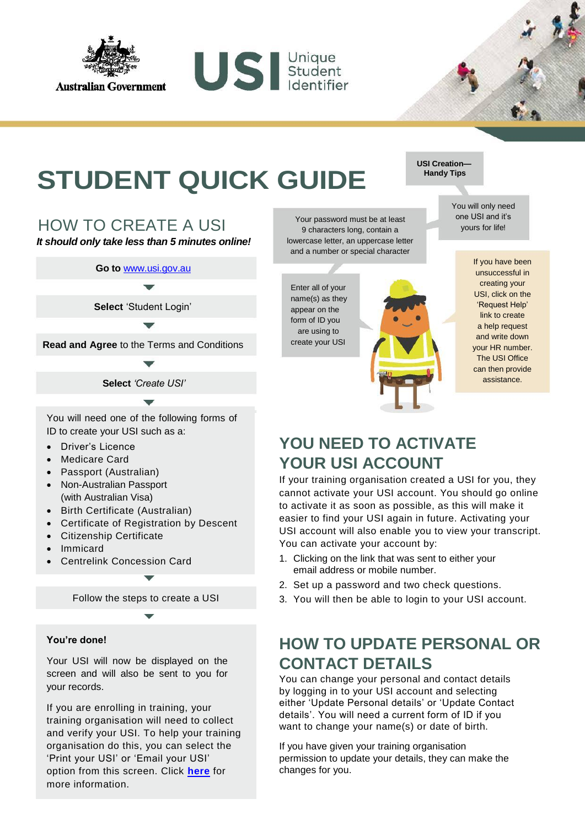

**STUDENT QUICK GUIDE** Handy Tips

US Student

#### HOW TO CREATE A USI

*It should only take less than 5 minutes online!*

**Go to** [www.usi.gov.au](http://www.usi.gov.au/)

**Select** 'Student Login'

**Read and Agree** to the Terms and Conditions

**Select** *'Create USI'*

You will need one of the following forms of ID to create your USI such as a:

- Driver's Licence
- Medicare Card
- Passport (Australian)
- Non-Australian Passport (with Australian Visa)
- Birth Certificate (Australian)
- Certificate of Registration by Descent
- Citizenship Certificate
- Immicard
- Centrelink Concession Card

Follow the steps to create a USI

#### **You're done!**

Your USI will now be displayed on the screen and will also be sent to you for your records.

If you are enrolling in training, your training organisation will need to collect and verify your USI. To help your training organisation do this, you can select the 'Print your USI' or 'Email your USI' option from this screen. Click **[here](https://www.usi.gov.au/print-usi-functionality)** for more information.

Your password must be at least 9 characters long, contain a lowercase letter, an uppercase letter and a number or special character

Enter all of your name(s) as they appear on the form of ID you are using to create your USI



If you have been unsuccessful in creating your USI, click on the 'Request Help' link to create a help request and write down your HR number. The USI Office can then provide assistance.

## **YOU NEED TO ACTIVATE YOUR USI ACCOUNT**

If your training organisation created a USI for you, they cannot activate your USI account. You should go online to activate it as soon as possible, as this will make it easier to find your USI again in future. Activating your USI account will also enable you to view your transcript. You can activate your account by:

- 1. Clicking on the link that was sent to either your email address or mobile number.
- 2. Set up a password and two check questions.
- 3. You will then be able to login to your USI account.

#### **HOW TO UPDATE PERSONAL OR CONTACT DETAILS**

You can change your personal and contact details by logging in to your USI account and selecting either 'Update Personal details' or 'Update Contact details'. You will need a current form of ID if you want to change your name(s) or date of birth.

If you have given your training organisation permission to update your details, they can make the changes for you.

# **USI Creation—**

You will only need one USI and it's yours for life!